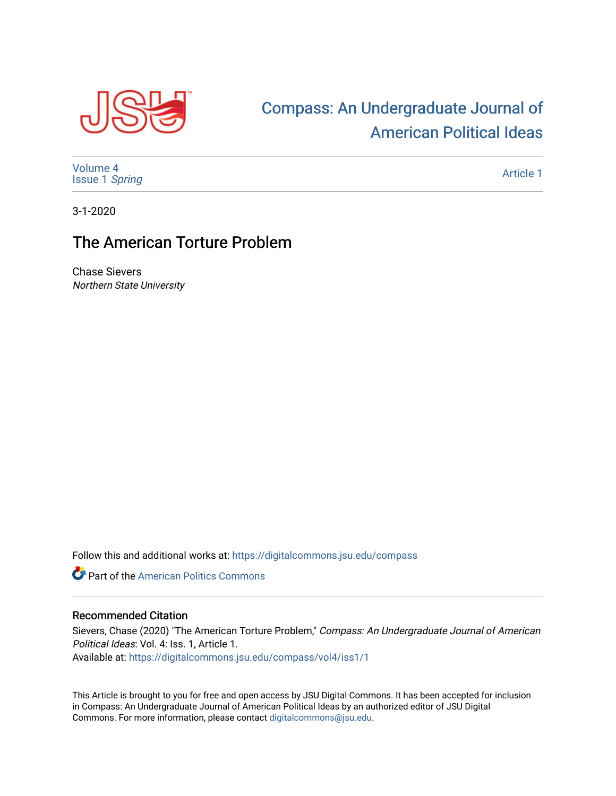

## [Compass: An Undergraduate Journal of](https://digitalcommons.jsu.edu/compass)  [American Political Ideas](https://digitalcommons.jsu.edu/compass)

[Volume 4](https://digitalcommons.jsu.edu/compass/vol4) [Issue 1](https://digitalcommons.jsu.edu/compass/vol4/iss1) Spring

[Article 1](https://digitalcommons.jsu.edu/compass/vol4/iss1/1) 

3-1-2020

## The American Torture Problem

Chase Sievers Northern State University

Follow this and additional works at: [https://digitalcommons.jsu.edu/compass](https://digitalcommons.jsu.edu/compass?utm_source=digitalcommons.jsu.edu%2Fcompass%2Fvol4%2Fiss1%2F1&utm_medium=PDF&utm_campaign=PDFCoverPages)

**Part of the American Politics Commons** 

## Recommended Citation

Sievers, Chase (2020) "The American Torture Problem," Compass: An Undergraduate Journal of American Political Ideas: Vol. 4: Iss. 1, Article 1.

Available at: [https://digitalcommons.jsu.edu/compass/vol4/iss1/1](https://digitalcommons.jsu.edu/compass/vol4/iss1/1?utm_source=digitalcommons.jsu.edu%2Fcompass%2Fvol4%2Fiss1%2F1&utm_medium=PDF&utm_campaign=PDFCoverPages)

This Article is brought to you for free and open access by JSU Digital Commons. It has been accepted for inclusion in Compass: An Undergraduate Journal of American Political Ideas by an authorized editor of JSU Digital Commons. For more information, please contact [digitalcommons@jsu.edu.](mailto:digitalcommons@jsu.edu)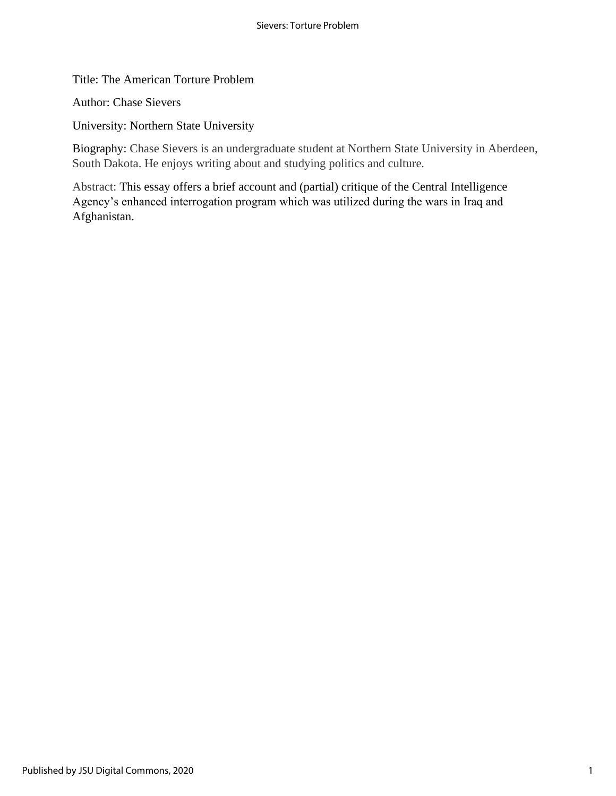Title: The American Torture Problem

Author: Chase Sievers

University: Northern State University

Biography: Chase Sievers is an undergraduate student at Northern State University in Aberdeen, South Dakota. He enjoys writing about and studying politics and culture.

Abstract: This essay offers a brief account and (partial) critique of the Central Intelligence Agency's enhanced interrogation program which was utilized during the wars in Iraq and Afghanistan.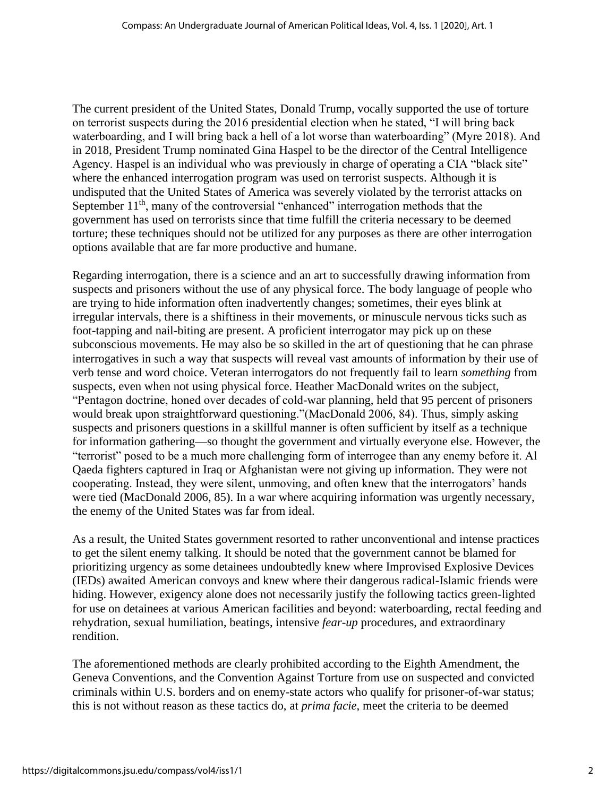The current president of the United States, Donald Trump, vocally supported the use of torture on terrorist suspects during the 2016 presidential election when he stated, "I will bring back waterboarding, and I will bring back a hell of a lot worse than waterboarding" (Myre 2018). And in 2018, President Trump nominated Gina Haspel to be the director of the Central Intelligence Agency. Haspel is an individual who was previously in charge of operating a CIA "black site" where the enhanced interrogation program was used on terrorist suspects. Although it is undisputed that the United States of America was severely violated by the terrorist attacks on September  $11<sup>th</sup>$ , many of the controversial "enhanced" interrogation methods that the government has used on terrorists since that time fulfill the criteria necessary to be deemed torture; these techniques should not be utilized for any purposes as there are other interrogation options available that are far more productive and humane.

Regarding interrogation, there is a science and an art to successfully drawing information from suspects and prisoners without the use of any physical force. The body language of people who are trying to hide information often inadvertently changes; sometimes, their eyes blink at irregular intervals, there is a shiftiness in their movements, or minuscule nervous ticks such as foot-tapping and nail-biting are present. A proficient interrogator may pick up on these subconscious movements. He may also be so skilled in the art of questioning that he can phrase interrogatives in such a way that suspects will reveal vast amounts of information by their use of verb tense and word choice. Veteran interrogators do not frequently fail to learn *something* from suspects, even when not using physical force. Heather MacDonald writes on the subject, "Pentagon doctrine, honed over decades of cold-war planning, held that 95 percent of prisoners would break upon straightforward questioning."(MacDonald 2006, 84). Thus, simply asking suspects and prisoners questions in a skillful manner is often sufficient by itself as a technique for information gathering—so thought the government and virtually everyone else. However, the "terrorist" posed to be a much more challenging form of interrogee than any enemy before it. Al Qaeda fighters captured in Iraq or Afghanistan were not giving up information. They were not cooperating. Instead, they were silent, unmoving, and often knew that the interrogators' hands were tied (MacDonald 2006, 85). In a war where acquiring information was urgently necessary, the enemy of the United States was far from ideal.

As a result, the United States government resorted to rather unconventional and intense practices to get the silent enemy talking. It should be noted that the government cannot be blamed for prioritizing urgency as some detainees undoubtedly knew where Improvised Explosive Devices (IEDs) awaited American convoys and knew where their dangerous radical-Islamic friends were hiding. However, exigency alone does not necessarily justify the following tactics green-lighted for use on detainees at various American facilities and beyond: waterboarding, rectal feeding and rehydration, sexual humiliation, beatings, intensive *fear-up* procedures, and extraordinary rendition.

The aforementioned methods are clearly prohibited according to the Eighth Amendment, the Geneva Conventions, and the Convention Against Torture from use on suspected and convicted criminals within U.S. borders and on enemy-state actors who qualify for prisoner-of-war status; this is not without reason as these tactics do, at *prima facie*, meet the criteria to be deemed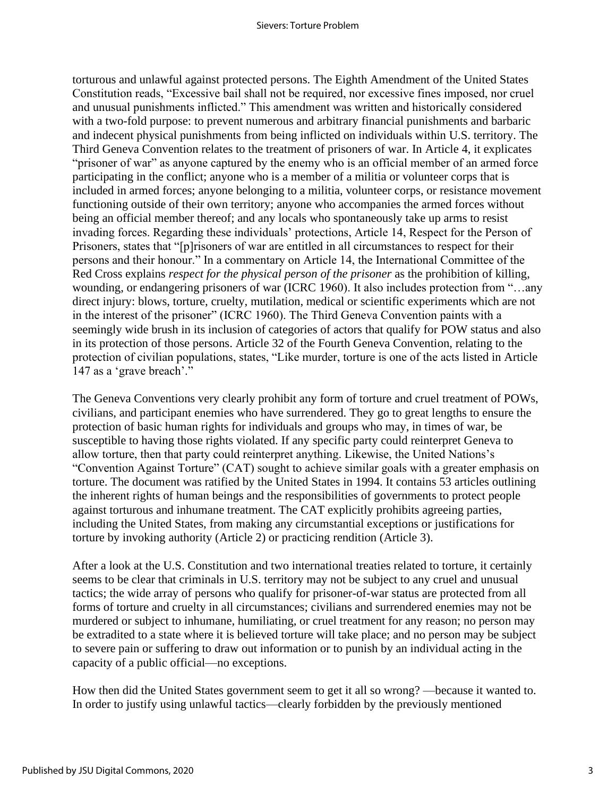torturous and unlawful against protected persons. The Eighth Amendment of the United States Constitution reads, "Excessive bail shall not be required, nor excessive fines imposed, nor cruel and unusual punishments inflicted." This amendment was written and historically considered with a two-fold purpose: to prevent numerous and arbitrary financial punishments and barbaric and indecent physical punishments from being inflicted on individuals within U.S. territory. The Third Geneva Convention relates to the treatment of prisoners of war. In Article 4, it explicates "prisoner of war" as anyone captured by the enemy who is an official member of an armed force participating in the conflict; anyone who is a member of a militia or volunteer corps that is included in armed forces; anyone belonging to a militia, volunteer corps, or resistance movement functioning outside of their own territory; anyone who accompanies the armed forces without being an official member thereof; and any locals who spontaneously take up arms to resist invading forces. Regarding these individuals' protections, Article 14, Respect for the Person of Prisoners, states that "[p]risoners of war are entitled in all circumstances to respect for their persons and their honour." In a commentary on Article 14, the International Committee of the Red Cross explains *respect for the physical person of the prisoner* as the prohibition of killing, wounding, or endangering prisoners of war (ICRC 1960). It also includes protection from "…any direct injury: blows, torture, cruelty, mutilation, medical or scientific experiments which are not in the interest of the prisoner" (ICRC 1960). The Third Geneva Convention paints with a seemingly wide brush in its inclusion of categories of actors that qualify for POW status and also in its protection of those persons. Article 32 of the Fourth Geneva Convention, relating to the protection of civilian populations, states, "Like murder, torture is one of the acts listed in Article 147 as a 'grave breach'."

The Geneva Conventions very clearly prohibit any form of torture and cruel treatment of POWs, civilians, and participant enemies who have surrendered. They go to great lengths to ensure the protection of basic human rights for individuals and groups who may, in times of war, be susceptible to having those rights violated. If any specific party could reinterpret Geneva to allow torture, then that party could reinterpret anything. Likewise, the United Nations's "Convention Against Torture" (CAT) sought to achieve similar goals with a greater emphasis on torture. The document was ratified by the United States in 1994. It contains 53 articles outlining the inherent rights of human beings and the responsibilities of governments to protect people against torturous and inhumane treatment. The CAT explicitly prohibits agreeing parties, including the United States, from making any circumstantial exceptions or justifications for torture by invoking authority (Article 2) or practicing rendition (Article 3).

After a look at the U.S. Constitution and two international treaties related to torture, it certainly seems to be clear that criminals in U.S. territory may not be subject to any cruel and unusual tactics; the wide array of persons who qualify for prisoner-of-war status are protected from all forms of torture and cruelty in all circumstances; civilians and surrendered enemies may not be murdered or subject to inhumane, humiliating, or cruel treatment for any reason; no person may be extradited to a state where it is believed torture will take place; and no person may be subject to severe pain or suffering to draw out information or to punish by an individual acting in the capacity of a public official—no exceptions.

How then did the United States government seem to get it all so wrong? —because it wanted to. In order to justify using unlawful tactics—clearly forbidden by the previously mentioned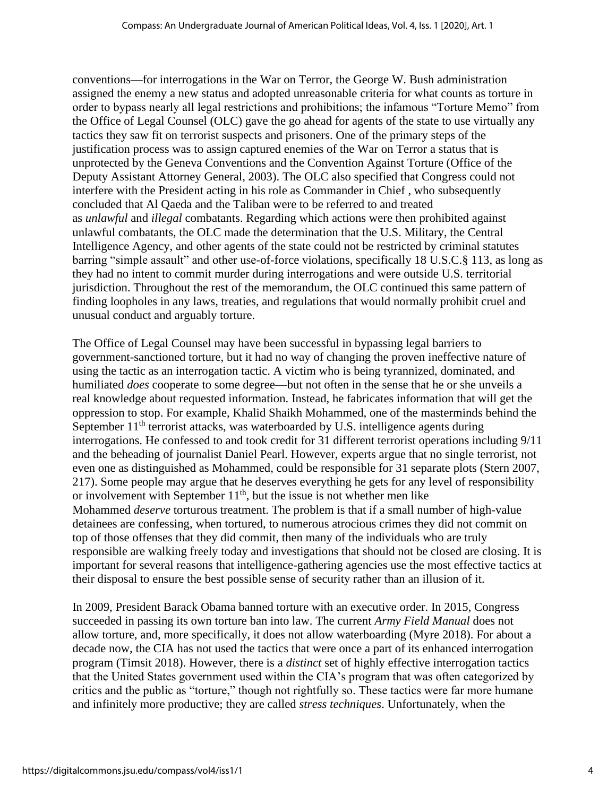conventions—for interrogations in the War on Terror, the George W. Bush administration assigned the enemy a new status and adopted unreasonable criteria for what counts as torture in order to bypass nearly all legal restrictions and prohibitions; the infamous "Torture Memo" from the Office of Legal Counsel (OLC) gave the go ahead for agents of the state to use virtually any tactics they saw fit on terrorist suspects and prisoners. One of the primary steps of the justification process was to assign captured enemies of the War on Terror a status that is unprotected by the Geneva Conventions and the Convention Against Torture (Office of the Deputy Assistant Attorney General, 2003). The OLC also specified that Congress could not interfere with the President acting in his role as Commander in Chief , who subsequently concluded that Al Qaeda and the Taliban were to be referred to and treated as *unlawful* and *illegal* combatants. Regarding which actions were then prohibited against unlawful combatants, the OLC made the determination that the U.S. Military, the Central Intelligence Agency, and other agents of the state could not be restricted by criminal statutes barring "simple assault" and other use-of-force violations, specifically 18 U.S.C.§ 113, as long as they had no intent to commit murder during interrogations and were outside U.S. territorial jurisdiction. Throughout the rest of the memorandum, the OLC continued this same pattern of finding loopholes in any laws, treaties, and regulations that would normally prohibit cruel and unusual conduct and arguably torture.

The Office of Legal Counsel may have been successful in bypassing legal barriers to government-sanctioned torture, but it had no way of changing the proven ineffective nature of using the tactic as an interrogation tactic. A victim who is being tyrannized, dominated, and humiliated *does* cooperate to some degree—but not often in the sense that he or she unveils a real knowledge about requested information. Instead, he fabricates information that will get the oppression to stop. For example, Khalid Shaikh Mohammed, one of the masterminds behind the September  $11<sup>th</sup>$  terrorist attacks, was waterboarded by U.S. intelligence agents during interrogations. He confessed to and took credit for 31 different terrorist operations including 9/11 and the beheading of journalist Daniel Pearl. However, experts argue that no single terrorist, not even one as distinguished as Mohammed, could be responsible for 31 separate plots (Stern 2007, 217). Some people may argue that he deserves everything he gets for any level of responsibility or involvement with September  $11<sup>th</sup>$ , but the issue is not whether men like Mohammed *deserve* torturous treatment. The problem is that if a small number of high-value detainees are confessing, when tortured, to numerous atrocious crimes they did not commit on top of those offenses that they did commit, then many of the individuals who are truly responsible are walking freely today and investigations that should not be closed are closing. It is important for several reasons that intelligence-gathering agencies use the most effective tactics at their disposal to ensure the best possible sense of security rather than an illusion of it.

In 2009, President Barack Obama banned torture with an executive order. In 2015, Congress succeeded in passing its own torture ban into law. The current *Army Field Manual* does not allow torture, and, more specifically, it does not allow waterboarding (Myre 2018). For about a decade now, the CIA has not used the tactics that were once a part of its enhanced interrogation program (Timsit 2018). However, there is a *distinct* set of highly effective interrogation tactics that the United States government used within the CIA's program that was often categorized by critics and the public as "torture," though not rightfully so. These tactics were far more humane and infinitely more productive; they are called *stress techniques*. Unfortunately, when the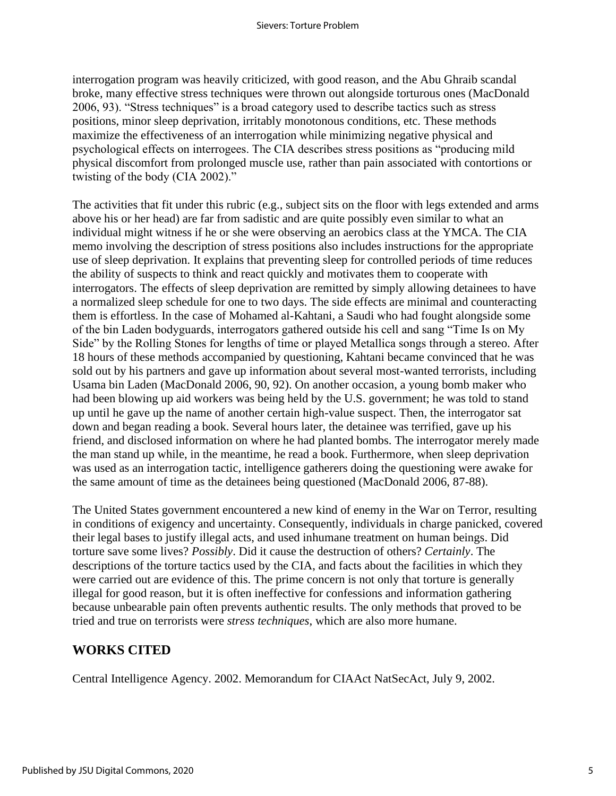interrogation program was heavily criticized, with good reason, and the Abu Ghraib scandal broke, many effective stress techniques were thrown out alongside torturous ones (MacDonald 2006, 93). "Stress techniques" is a broad category used to describe tactics such as stress positions, minor sleep deprivation, irritably monotonous conditions, etc. These methods maximize the effectiveness of an interrogation while minimizing negative physical and psychological effects on interrogees. The CIA describes stress positions as "producing mild physical discomfort from prolonged muscle use, rather than pain associated with contortions or twisting of the body (CIA 2002)."

The activities that fit under this rubric (e.g., subject sits on the floor with legs extended and arms above his or her head) are far from sadistic and are quite possibly even similar to what an individual might witness if he or she were observing an aerobics class at the YMCA. The CIA memo involving the description of stress positions also includes instructions for the appropriate use of sleep deprivation. It explains that preventing sleep for controlled periods of time reduces the ability of suspects to think and react quickly and motivates them to cooperate with interrogators. The effects of sleep deprivation are remitted by simply allowing detainees to have a normalized sleep schedule for one to two days. The side effects are minimal and counteracting them is effortless. In the case of Mohamed al-Kahtani, a Saudi who had fought alongside some of the bin Laden bodyguards, interrogators gathered outside his cell and sang "Time Is on My Side" by the Rolling Stones for lengths of time or played Metallica songs through a stereo. After 18 hours of these methods accompanied by questioning, Kahtani became convinced that he was sold out by his partners and gave up information about several most-wanted terrorists, including Usama bin Laden (MacDonald 2006, 90, 92). On another occasion, a young bomb maker who had been blowing up aid workers was being held by the U.S. government; he was told to stand up until he gave up the name of another certain high-value suspect. Then, the interrogator sat down and began reading a book. Several hours later, the detainee was terrified, gave up his friend, and disclosed information on where he had planted bombs. The interrogator merely made the man stand up while, in the meantime, he read a book. Furthermore, when sleep deprivation was used as an interrogation tactic, intelligence gatherers doing the questioning were awake for the same amount of time as the detainees being questioned (MacDonald 2006, 87-88).

The United States government encountered a new kind of enemy in the War on Terror, resulting in conditions of exigency and uncertainty. Consequently, individuals in charge panicked, covered their legal bases to justify illegal acts, and used inhumane treatment on human beings. Did torture save some lives? *Possibly*. Did it cause the destruction of others? *Certainly*. The descriptions of the torture tactics used by the CIA, and facts about the facilities in which they were carried out are evidence of this. The prime concern is not only that torture is generally illegal for good reason, but it is often ineffective for confessions and information gathering because unbearable pain often prevents authentic results. The only methods that proved to be tried and true on terrorists were *stress techniques*, which are also more humane.

## **WORKS CITED**

Central Intelligence Agency. 2002. Memorandum for CIAAct NatSecAct, July 9, 2002.